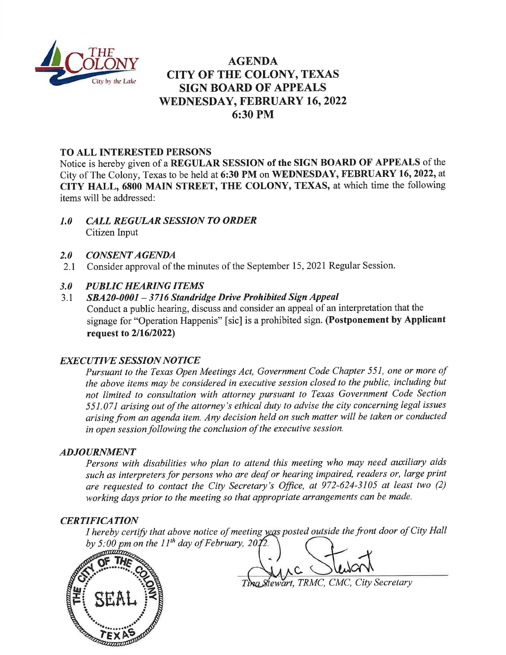

# **AGENDA CITY OF THE COLONY, TEXAS SIGN BOARD OF APPEALS** WEDNESDAY, FEBRUARY 16, 2022 6:30 PM

## **TO ALL INTERESTED PERSONS**

Notice is hereby given of a REGULAR SESSION of the SIGN BOARD OF APPEALS of the City of The Colony, Texas to be held at 6:30 PM on WEDNESDAY, FEBRUARY 16, 2022, at CITY HALL, 6800 MAIN STREET, THE COLONY, TEXAS, at which time the following items will be addressed:

#### $1.0$ **CALL REGULAR SESSION TO ORDER** Citizen Input

#### $2.0$ **CONSENT AGENDA**

Consider approval of the minutes of the September 15, 2021 Regular Session. 2.1

#### $3.0$ **PUBLIC HEARING ITEMS**

#### SBA20-0001 - 3716 Standridge Drive Prohibited Sign Appeal  $3.1$

Conduct a public hearing, discuss and consider an appeal of an interpretation that the signage for "Operation Happenis" [sic] is a prohibited sign. (Postponement by Applicant request to 2/16/2022)

### **EXECUTIVE SESSION NOTICE**

Pursuant to the Texas Open Meetings Act, Government Code Chapter 551, one or more of the above items may be considered in executive session closed to the public, including but not limited to consultation with attorney pursuant to Texas Government Code Section 551.071 arising out of the attorney's ethical duty to advise the city concerning legal issues arising from an agenda item. Any decision held on such matter will be taken or conducted in open session following the conclusion of the executive session.

### **ADJOURNMENT**

Persons with disabilities who plan to attend this meeting who may need auxiliary aids such as interpreters for persons who are deaf or hearing impaired, readers or, large print are requested to contact the City Secretary's Office, at 972-624-3105 at least two (2) working days prior to the meeting so that appropriate arrangements can be made.

### **CERTIFICATION**

I hereby certify that above notice of meeting was posted outside the front door of City Hall by 5:00 pm on the 11<sup>th</sup> day of February, 2022.



tewart, TRMC, CMC, City Secretary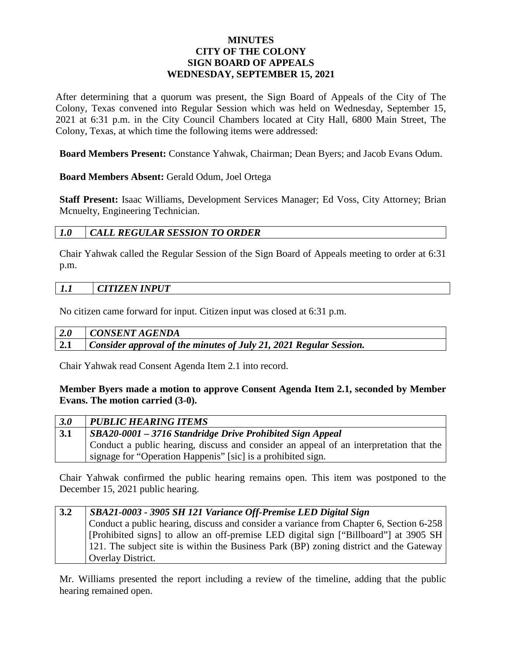#### **MINUTES CITY OF THE COLONY SIGN BOARD OF APPEALS WEDNESDAY, SEPTEMBER 15, 2021**

After determining that a quorum was present, the Sign Board of Appeals of the City of The Colony, Texas convened into Regular Session which was held on Wednesday, September 15, 2021 at 6:31 p.m. in the City Council Chambers located at City Hall, 6800 Main Street, The Colony, Texas, at which time the following items were addressed:

**Board Members Present:** Constance Yahwak, Chairman; Dean Byers; and Jacob Evans Odum.

#### **Board Members Absent:** Gerald Odum, Joel Ortega

**Staff Present:** Isaac Williams, Development Services Manager; Ed Voss, City Attorney; Brian Mcnuelty, Engineering Technician.

#### *1.0 CALL REGULAR SESSION TO ORDER*

Chair Yahwak called the Regular Session of the Sign Board of Appeals meeting to order at 6:31 p.m.

#### *1.1 CITIZEN INPUT*

No citizen came forward for input. Citizen input was closed at 6:31 p.m.

| <b>2.0</b> | CONSENT AGENDA                                                     |
|------------|--------------------------------------------------------------------|
| 2.1        | Consider approval of the minutes of July 21, 2021 Regular Session. |

Chair Yahwak read Consent Agenda Item 2.1 into record.

#### **Member Byers made a motion to approve Consent Agenda Item 2.1, seconded by Member Evans. The motion carried (3-0).**

| 3.0 | <b>PUBLIC HEARING ITEMS</b>                                                            |  |
|-----|----------------------------------------------------------------------------------------|--|
| 3.1 | SBA20-0001 – 3716 Standridge Drive Prohibited Sign Appeal                              |  |
|     | Conduct a public hearing, discuss and consider an appeal of an interpretation that the |  |
|     | signage for "Operation Happenis" [sic] is a prohibited sign.                           |  |

Chair Yahwak confirmed the public hearing remains open. This item was postponed to the December 15, 2021 public hearing.

### **3.2** *SBA21-0003 - 3905 SH 121 Variance Off-Premise LED Digital Sign* Conduct a public hearing, discuss and consider a variance from Chapter 6, Section 6-258 [Prohibited signs] to allow an off-premise LED digital sign ["Billboard"] at 3905 SH 121. The subject site is within the Business Park (BP) zoning district and the Gateway Overlay District.

Mr. Williams presented the report including a review of the timeline, adding that the public hearing remained open.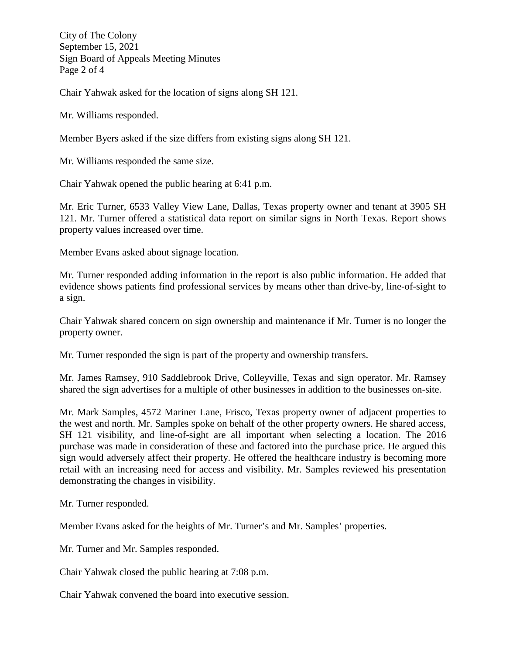City of The Colony September 15, 2021 Sign Board of Appeals Meeting Minutes Page 2 of 4

Chair Yahwak asked for the location of signs along SH 121.

Mr. Williams responded.

Member Byers asked if the size differs from existing signs along SH 121.

Mr. Williams responded the same size.

Chair Yahwak opened the public hearing at 6:41 p.m.

Mr. Eric Turner, 6533 Valley View Lane, Dallas, Texas property owner and tenant at 3905 SH 121. Mr. Turner offered a statistical data report on similar signs in North Texas. Report shows property values increased over time.

Member Evans asked about signage location.

Mr. Turner responded adding information in the report is also public information. He added that evidence shows patients find professional services by means other than drive-by, line-of-sight to a sign.

Chair Yahwak shared concern on sign ownership and maintenance if Mr. Turner is no longer the property owner.

Mr. Turner responded the sign is part of the property and ownership transfers.

Mr. James Ramsey, 910 Saddlebrook Drive, Colleyville, Texas and sign operator. Mr. Ramsey shared the sign advertises for a multiple of other businesses in addition to the businesses on-site.

Mr. Mark Samples, 4572 Mariner Lane, Frisco, Texas property owner of adjacent properties to the west and north. Mr. Samples spoke on behalf of the other property owners. He shared access, SH 121 visibility, and line-of-sight are all important when selecting a location. The 2016 purchase was made in consideration of these and factored into the purchase price. He argued this sign would adversely affect their property. He offered the healthcare industry is becoming more retail with an increasing need for access and visibility. Mr. Samples reviewed his presentation demonstrating the changes in visibility.

Mr. Turner responded.

Member Evans asked for the heights of Mr. Turner's and Mr. Samples' properties.

Mr. Turner and Mr. Samples responded.

Chair Yahwak closed the public hearing at 7:08 p.m.

Chair Yahwak convened the board into executive session.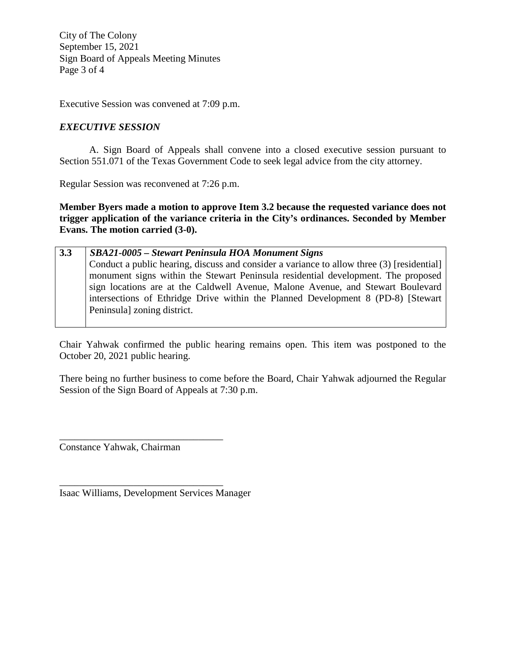City of The Colony September 15, 2021 Sign Board of Appeals Meeting Minutes Page 3 of 4

Executive Session was convened at 7:09 p.m.

#### *EXECUTIVE SESSION*

A. Sign Board of Appeals shall convene into a closed executive session pursuant to Section 551.071 of the Texas Government Code to seek legal advice from the city attorney.

Regular Session was reconvened at 7:26 p.m.

**Member Byers made a motion to approve Item 3.2 because the requested variance does not trigger application of the variance criteria in the City's ordinances. Seconded by Member Evans. The motion carried (3-0).**

| 3.3                                                                               | SBA21-0005 – Stewart Peninsula HOA Monument Signs<br>Conduct a public hearing, discuss and consider a variance to allow three (3) [residential] |  |
|-----------------------------------------------------------------------------------|-------------------------------------------------------------------------------------------------------------------------------------------------|--|
|                                                                                   |                                                                                                                                                 |  |
| monument signs within the Stewart Peninsula residential development. The proposed |                                                                                                                                                 |  |
|                                                                                   | sign locations are at the Caldwell Avenue, Malone Avenue, and Stewart Boulevard                                                                 |  |
|                                                                                   | intersections of Ethridge Drive within the Planned Development 8 (PD-8) [Stewart]                                                               |  |
|                                                                                   | Peninsula] zoning district.                                                                                                                     |  |
|                                                                                   |                                                                                                                                                 |  |

Chair Yahwak confirmed the public hearing remains open. This item was postponed to the October 20, 2021 public hearing.

There being no further business to come before the Board, Chair Yahwak adjourned the Regular Session of the Sign Board of Appeals at 7:30 p.m.

Constance Yahwak, Chairman

\_\_\_\_\_\_\_\_\_\_\_\_\_\_\_\_\_\_\_\_\_\_\_\_\_\_\_\_\_\_\_\_\_

\_\_\_\_\_\_\_\_\_\_\_\_\_\_\_\_\_\_\_\_\_\_\_\_\_\_\_\_\_\_\_\_\_

Isaac Williams, Development Services Manager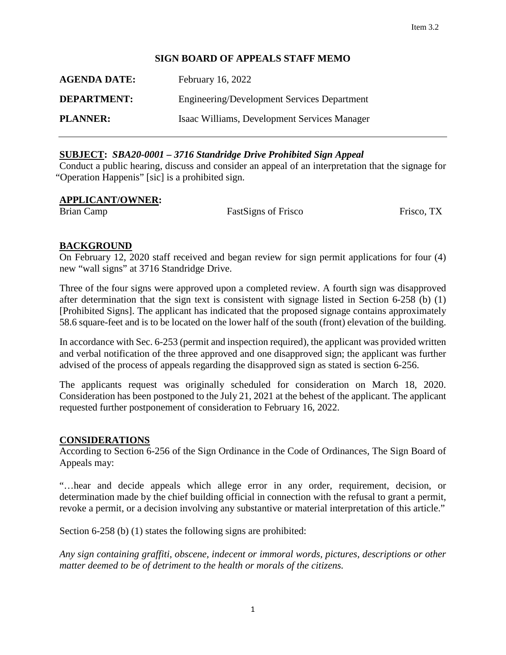#### **SIGN BOARD OF APPEALS STAFF MEMO**

| <b>AGENDA DATE:</b> | February 16, 2022                                  |
|---------------------|----------------------------------------------------|
| <b>DEPARTMENT:</b>  | <b>Engineering/Development Services Department</b> |
| <b>PLANNER:</b>     | Isaac Williams, Development Services Manager       |

#### **SUBJECT:** *SBA20-0001 – 3716 Standridge Drive Prohibited Sign Appeal*

Conduct a public hearing, discuss and consider an appeal of an interpretation that the signage for "Operation Happenis" [sic] is a prohibited sign.

#### **APPLICANT/OWNER:**

Brian Camp FastSigns of Frisco, TX

### **BACKGROUND**

On February 12, 2020 staff received and began review for sign permit applications for four (4) new "wall signs" at 3716 Standridge Drive.

Three of the four signs were approved upon a completed review. A fourth sign was disapproved after determination that the sign text is consistent with signage listed in Section 6-258 (b) (1) [Prohibited Signs]. The applicant has indicated that the proposed signage contains approximately 58.6 square-feet and is to be located on the lower half of the south (front) elevation of the building.

In accordance with Sec. 6-253 (permit and inspection required), the applicant was provided written and verbal notification of the three approved and one disapproved sign; the applicant was further advised of the process of appeals regarding the disapproved sign as stated is section 6-256.

The applicants request was originally scheduled for consideration on March 18, 2020. Consideration has been postponed to the July 21, 2021 at the behest of the applicant. The applicant requested further postponement of consideration to February 16, 2022.

### **CONSIDERATIONS**

According to Section 6-256 of the Sign Ordinance in the Code of Ordinances, The Sign Board of Appeals may:

"…hear and decide appeals which allege error in any order, requirement, decision, or determination made by the chief building official in connection with the refusal to grant a permit, revoke a permit, or a decision involving any substantive or material interpretation of this article."

Section 6-258 (b) (1) states the following signs are prohibited:

*Any sign containing graffiti, obscene, indecent or immoral words, pictures, descriptions or other matter deemed to be of detriment to the health or morals of the citizens.*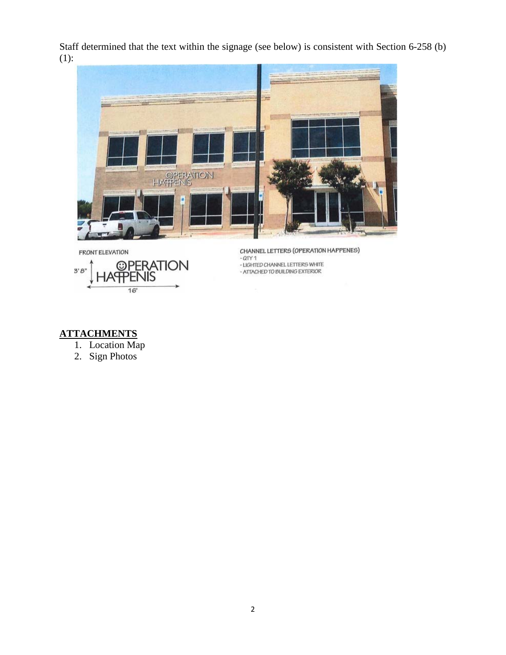Staff determined that the text within the signage (see below) is consistent with Section 6-258 (b) (1):





- CITY 1<br>- LIGHTED CHANNEL LETTERS WHITE<br>- ATTACHED TO BUILDING EXTERIOR

# **ATTACHMENTS**

- 1. Location Map
- 2. Sign Photos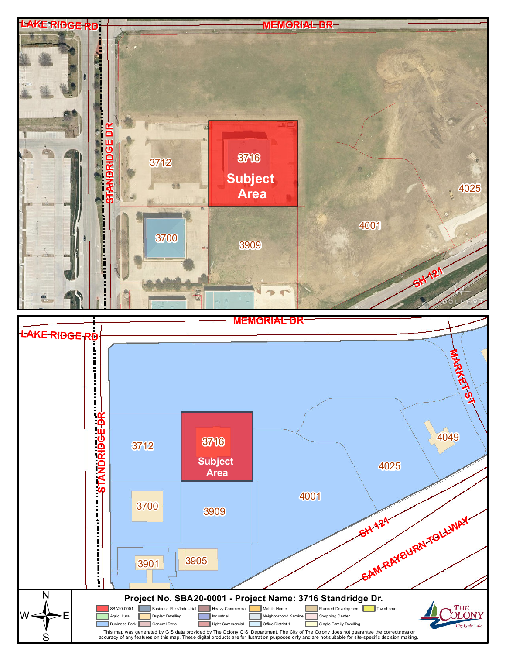